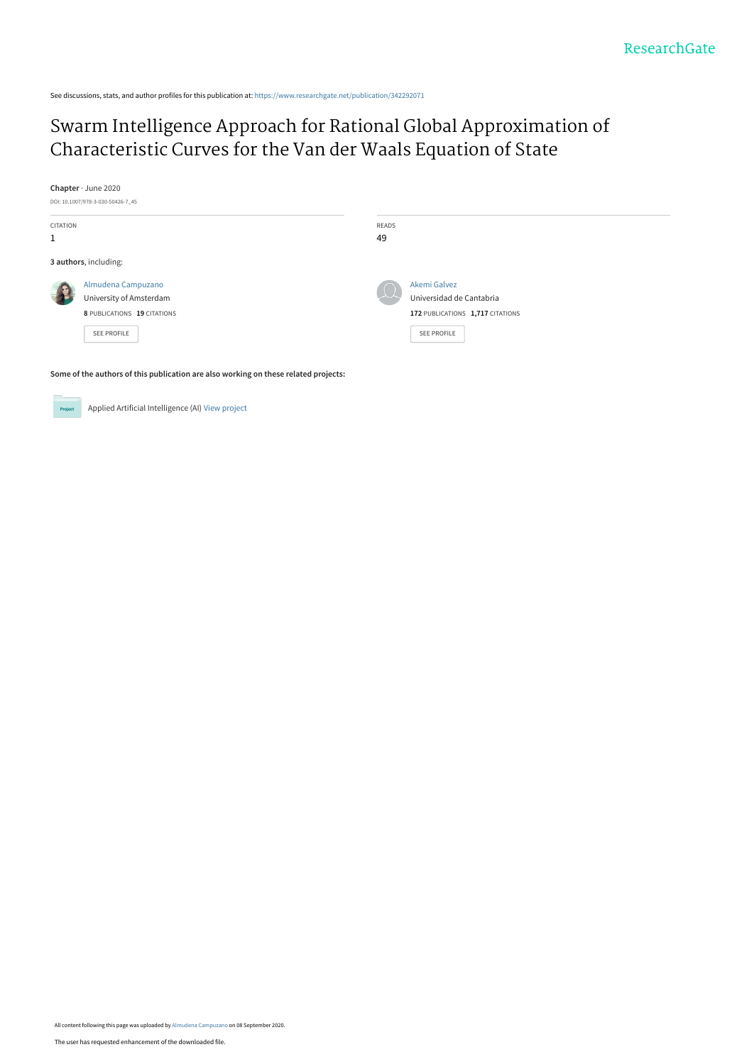See discussions, stats, and author profiles for this publication at: [https://www.researchgate.net/publication/342292071](https://www.researchgate.net/publication/342292071_Swarm_Intelligence_Approach_for_Rational_Global_Approximation_of_Characteristic_Curves_for_the_Van_der_Waals_Equation_of_State?enrichId=rgreq-46ace1619717e2e97e1898ab7a9c8c67-XXX&enrichSource=Y292ZXJQYWdlOzM0MjI5MjA3MTtBUzo5MzM2Mjg4MzgxNTgzMzZAMTU5OTYwNTg2OTE1Nw%3D%3D&el=1_x_2&_esc=publicationCoverPdf)

# [Swarm Intelligence Approach for Rational Global Approximation of](https://www.researchgate.net/publication/342292071_Swarm_Intelligence_Approach_for_Rational_Global_Approximation_of_Characteristic_Curves_for_the_Van_der_Waals_Equation_of_State?enrichId=rgreq-46ace1619717e2e97e1898ab7a9c8c67-XXX&enrichSource=Y292ZXJQYWdlOzM0MjI5MjA3MTtBUzo5MzM2Mjg4MzgxNTgzMzZAMTU5OTYwNTg2OTE1Nw%3D%3D&el=1_x_3&_esc=publicationCoverPdf) Characteristic Curves for the Van der Waals Equation of State

**Chapter** · June 2020 DOI: 10.1007/978-3-030-50426-7\_45 CITATION 1 READS 49 **3 authors**, including: [Almudena Campuzano](https://www.researchgate.net/profile/Almudena-Campuzano?enrichId=rgreq-46ace1619717e2e97e1898ab7a9c8c67-XXX&enrichSource=Y292ZXJQYWdlOzM0MjI5MjA3MTtBUzo5MzM2Mjg4MzgxNTgzMzZAMTU5OTYwNTg2OTE1Nw%3D%3D&el=1_x_5&_esc=publicationCoverPdf) [University of Amsterdam](https://www.researchgate.net/institution/University_of_Amsterdam?enrichId=rgreq-46ace1619717e2e97e1898ab7a9c8c67-XXX&enrichSource=Y292ZXJQYWdlOzM0MjI5MjA3MTtBUzo5MzM2Mjg4MzgxNTgzMzZAMTU5OTYwNTg2OTE1Nw%3D%3D&el=1_x_6&_esc=publicationCoverPdf) **8** PUBLICATIONS **19** CITATIONS [SEE PROFILE](https://www.researchgate.net/profile/Almudena-Campuzano?enrichId=rgreq-46ace1619717e2e97e1898ab7a9c8c67-XXX&enrichSource=Y292ZXJQYWdlOzM0MjI5MjA3MTtBUzo5MzM2Mjg4MzgxNTgzMzZAMTU5OTYwNTg2OTE1Nw%3D%3D&el=1_x_7&_esc=publicationCoverPdf) [Akemi Galvez](https://www.researchgate.net/profile/Akemi-Galvez?enrichId=rgreq-46ace1619717e2e97e1898ab7a9c8c67-XXX&enrichSource=Y292ZXJQYWdlOzM0MjI5MjA3MTtBUzo5MzM2Mjg4MzgxNTgzMzZAMTU5OTYwNTg2OTE1Nw%3D%3D&el=1_x_5&_esc=publicationCoverPdf) [Universidad de Cantabria](https://www.researchgate.net/institution/Universidad_de_Cantabria?enrichId=rgreq-46ace1619717e2e97e1898ab7a9c8c67-XXX&enrichSource=Y292ZXJQYWdlOzM0MjI5MjA3MTtBUzo5MzM2Mjg4MzgxNTgzMzZAMTU5OTYwNTg2OTE1Nw%3D%3D&el=1_x_6&_esc=publicationCoverPdf) **172** PUBLICATIONS **1,717** CITATIONS [SEE PROFILE](https://www.researchgate.net/profile/Akemi-Galvez?enrichId=rgreq-46ace1619717e2e97e1898ab7a9c8c67-XXX&enrichSource=Y292ZXJQYWdlOzM0MjI5MjA3MTtBUzo5MzM2Mjg4MzgxNTgzMzZAMTU5OTYwNTg2OTE1Nw%3D%3D&el=1_x_7&_esc=publicationCoverPdf)

**Some of the authors of this publication are also working on these related projects:**

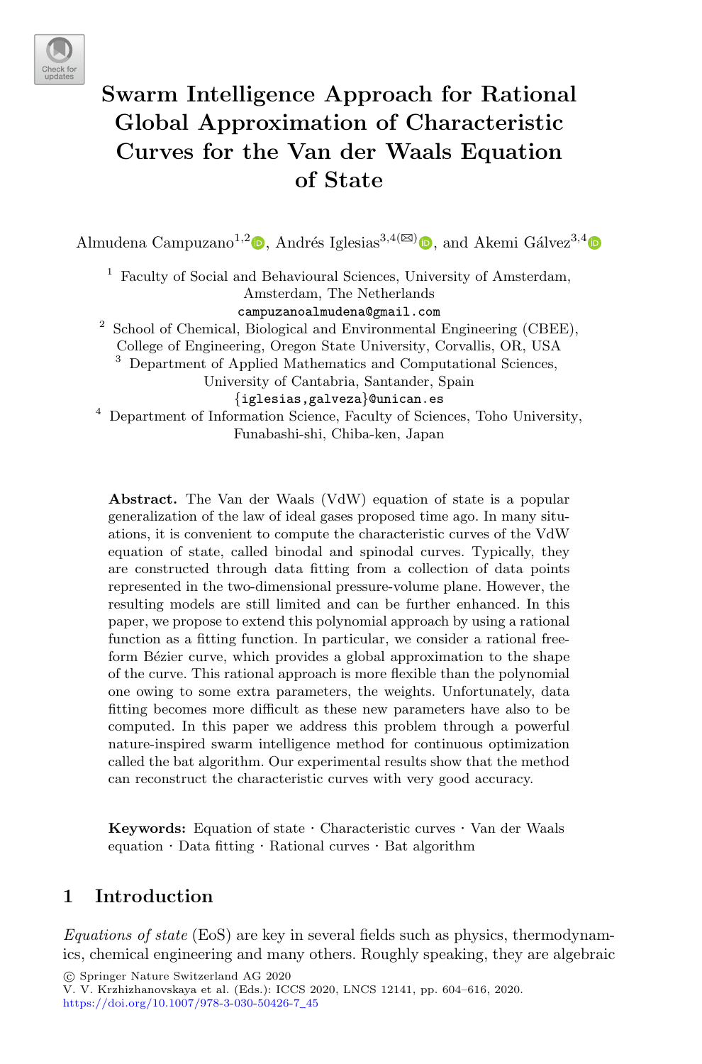

# **Swarm Intelligence Approach for Rational Global Approximation of Characteristic Curves for the Van der Waals Equation of State**

Almudena Campuzano<sup>1[,](http://orcid.org/0000-0002-5672-8274)2</sup> $\bullet$ , Andrés Iglesias<sup>3,[4](http://orcid.org/0000-0002-2100-2289)( $\boxtimes$ ) $\bullet$ , and Akemi Gálvez<sup>3,4</sup> $\bullet$ </sup>

<sup>1</sup> Faculty of Social and Behavioural Sciences, University of Amsterdam, Amsterdam, The Netherlands campuzanoalmudena@gmail.com

<sup>2</sup> School of Chemical, Biological and Environmental Engineering (CBEE), College of Engineering, Oregon State University, Corvallis, OR, USA <sup>3</sup> Department of Applied Mathematics and Computational Sciences,

University of Cantabria, Santander, Spain

*{*iglesias,galveza*}*@unican.es <sup>4</sup> Department of Information Science, Faculty of Sciences, Toho University, Funabashi-shi, Chiba-ken, Japan

**Abstract.** The Van der Waals (VdW) equation of state is a popular generalization of the law of ideal gases proposed time ago. In many situations, it is convenient to compute the characteristic curves of the VdW equation of state, called binodal and spinodal curves. Typically, they are constructed through data fitting from a collection of data points represented in the two-dimensional pressure-volume plane. However, the resulting models are still limited and can be further enhanced. In this paper, we propose to extend this polynomial approach by using a rational function as a fitting function. In particular, we consider a rational freeform Bézier curve, which provides a global approximation to the shape of the curve. This rational approach is more flexible than the polynomial one owing to some extra parameters, the weights. Unfortunately, data fitting becomes more difficult as these new parameters have also to be computed. In this paper we address this problem through a powerful nature-inspired swarm intelligence method for continuous optimization called the bat algorithm. Our experimental results show that the method can reconstruct the characteristic curves with very good accuracy.

**Keywords:** Equation of state · Characteristic curves · Van der Waals equation  $\cdot$  Data fitting  $\cdot$  Rational curves  $\cdot$  Bat algorithm

# **1 Introduction**

*Equations of state* (EoS) are key in several fields such as physics, thermodynamics, chemical engineering and many others. Roughly speaking, they are algebraic

-c Springer Nature Switzerland AG 2020

V. V. Krzhizhanovskaya et al. (Eds.): ICCS 2020, LNCS 12141, pp. 604–616, 2020. [https://doi.org/10.1007/978-3-030-50426-7](https://doi.org/10.1007/978-3-030-50426-7_45)\_45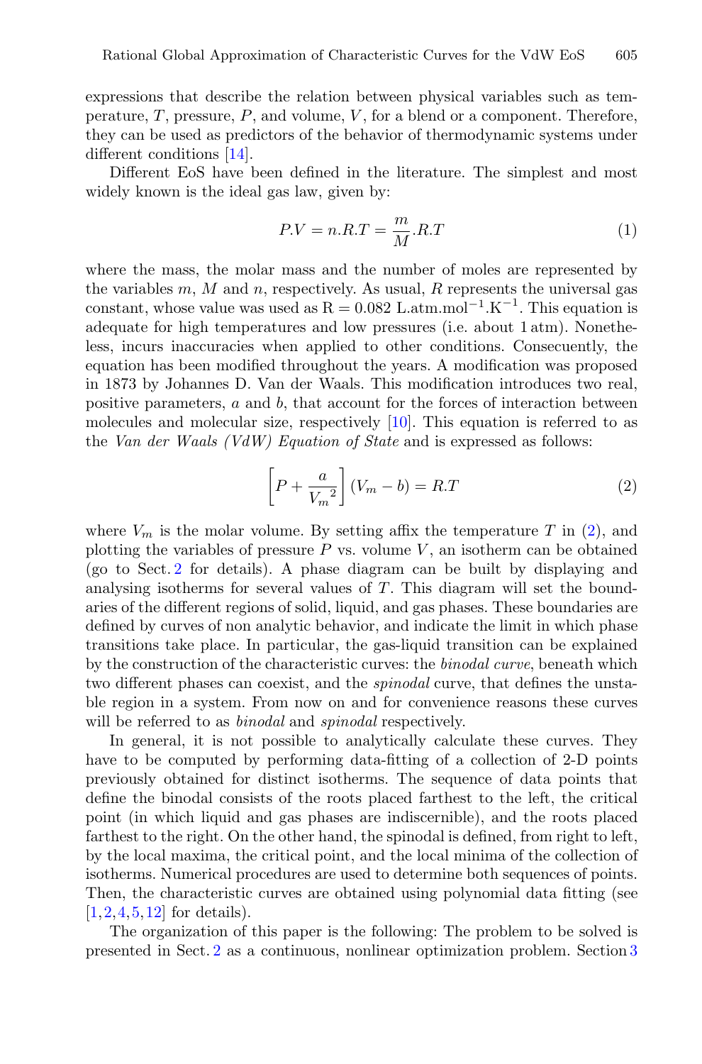expressions that describe the relation between physical variables such as temperature,  $T$ , pressure,  $P$ , and volume,  $V$ , for a blend or a component. Therefore, they can be used as predictors of the behavior of thermodynamic systems under different conditions [\[14](#page-13-0)].

Different EoS have been defined in the literature. The simplest and most widely known is the ideal gas law, given by:

$$
P.V = n.R.T = \frac{m}{M}.R.T
$$
\n<sup>(1)</sup>

where the mass, the molar mass and the number of moles are represented by the variables  $m, M$  and  $n$ , respectively. As usual,  $R$  represents the universal gas constant, whose value was used as  $R = 0.082$  L.atm.mol<sup>-1</sup>.K<sup>-1</sup>. This equation is adequate for high temperatures and low pressures (i.e. about 1 atm). Nonetheless, incurs inaccuracies when applied to other conditions. Consecuently, the equation has been modified throughout the years. A modification was proposed in 1873 by Johannes D. Van der Waals. This modification introduces two real, positive parameters,  $a$  and  $b$ , that account for the forces of interaction between molecules and molecular size, respectively [\[10](#page-13-1)]. This equation is referred to as the *Van der Waals (VdW) Equation of State* and is expressed as follows:

<span id="page-2-0"></span>
$$
\left[P + \frac{a}{V_m^2}\right](V_m - b) = R.T\tag{2}
$$

where  $V_m$  is the molar volume. By setting affix the temperature T in [\(2\)](#page-2-0), and plotting the variables of pressure  $P$  vs. volume  $V$ , an isotherm can be obtained (go to Sect. [2](#page-3-0) for details). A phase diagram can be built by displaying and analysing isotherms for several values of T. This diagram will set the boundaries of the different regions of solid, liquid, and gas phases. These boundaries are defined by curves of non analytic behavior, and indicate the limit in which phase transitions take place. In particular, the gas-liquid transition can be explained by the construction of the characteristic curves: the *binodal curve*, beneath which two different phases can coexist, and the *spinodal* curve, that defines the unstable region in a system. From now on and for convenience reasons these curves will be referred to as *binodal* and *spinodal* respectively.

In general, it is not possible to analytically calculate these curves. They have to be computed by performing data-fitting of a collection of 2-D points previously obtained for distinct isotherms. The sequence of data points that define the binodal consists of the roots placed farthest to the left, the critical point (in which liquid and gas phases are indiscernible), and the roots placed farthest to the right. On the other hand, the spinodal is defined, from right to left, by the local maxima, the critical point, and the local minima of the collection of isotherms. Numerical procedures are used to determine both sequences of points. Then, the characteristic curves are obtained using polynomial data fitting (see  $[1,2,4,5,12]$  $[1,2,4,5,12]$  $[1,2,4,5,12]$  $[1,2,4,5,12]$  $[1,2,4,5,12]$  $[1,2,4,5,12]$  $[1,2,4,5,12]$  for details).

The organization of this paper is the following: The problem to be solved is presented in Sect. [2](#page-3-0) as a continuous, nonlinear optimization problem. Section [3](#page-6-0)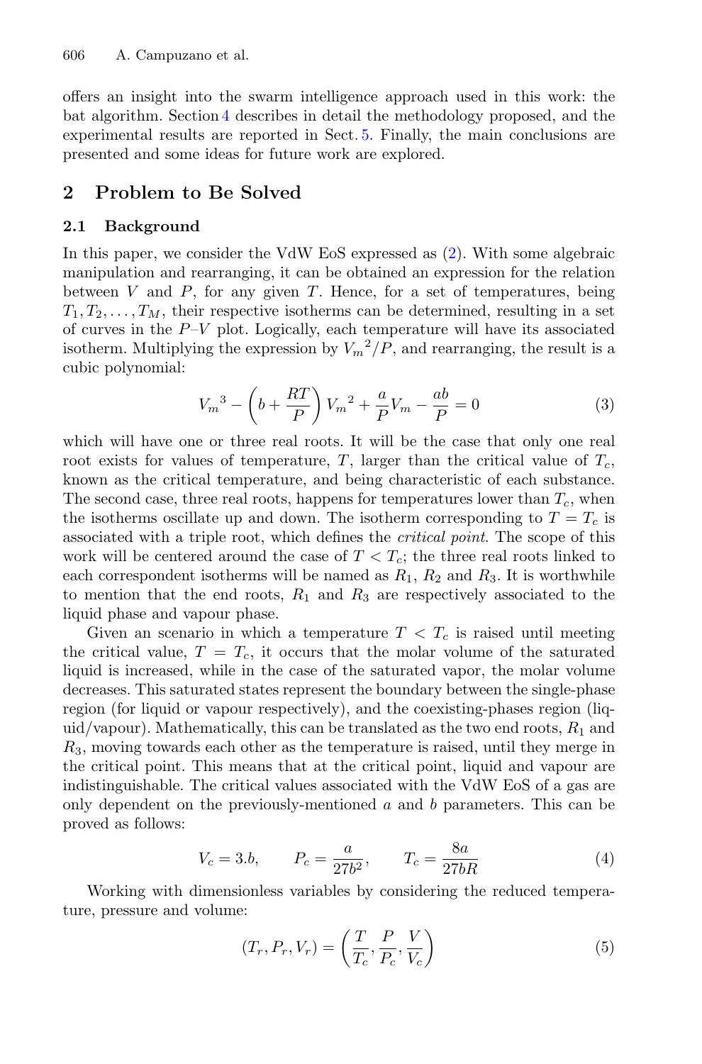offers an insight into the swarm intelligence approach used in this work: the bat algorithm. Section [4](#page-8-0) describes in detail the methodology proposed, and the experimental results are reported in Sect. [5.](#page-10-0) Finally, the main conclusions are presented and some ideas for future work are explored.

## <span id="page-3-0"></span>**2 Problem to Be Solved**

### **2.1 Background**

In this paper, we consider the VdW EoS expressed as [\(2\)](#page-2-0). With some algebraic manipulation and rearranging, it can be obtained an expression for the relation between  $V$  and  $P$ , for any given  $T$ . Hence, for a set of temperatures, being  $T_1, T_2, \ldots, T_M$ , their respective isotherms can be determined, resulting in a set of curves in the  $P-V$  plot. Logically, each temperature will have its associated isotherm. Multiplying the expression by  $V_m^2/P$ , and rearranging, the result is a cubic polynomial:

<span id="page-3-1"></span>
$$
V_m^3 - \left(b + \frac{RT}{P}\right) V_m^2 + \frac{a}{P} V_m - \frac{ab}{P} = 0
$$
 (3)

which will have one or three real roots. It will be the case that only one real root exists for values of temperature,  $T$ , larger than the critical value of  $T_c$ , known as the critical temperature, and being characteristic of each substance. The second case, three real roots, happens for temperatures lower than  $T_c$ , when the isotherms oscillate up and down. The isotherm corresponding to  $T = T_c$  is associated with a triple root, which defines the *critical point*. The scope of this work will be centered around the case of  $T < T_c$ ; the three real roots linked to each correspondent isotherms will be named as  $R_1$ ,  $R_2$  and  $R_3$ . It is worthwhile to mention that the end roots,  $R_1$  and  $R_3$  are respectively associated to the liquid phase and vapour phase.

Given an scenario in which a temperature  $T < T_c$  is raised until meeting the critical value,  $T = T_c$ , it occurs that the molar volume of the saturated liquid is increased, while in the case of the saturated vapor, the molar volume decreases. This saturated states represent the boundary between the single-phase region (for liquid or vapour respectively), and the coexisting-phases region (liquid/vapour). Mathematically, this can be translated as the two end roots,  $R_1$  and  $R<sub>3</sub>$ , moving towards each other as the temperature is raised, until they merge in the critical point. This means that at the critical point, liquid and vapour are indistinguishable. The critical values associated with the VdW EoS of a gas are only dependent on the previously-mentioned  $\alpha$  and  $\dot{\theta}$  parameters. This can be proved as follows:

<span id="page-3-2"></span>
$$
V_c = 3.b, \t P_c = \frac{a}{27b^2}, \t T_c = \frac{8a}{27bR}
$$
\t(4)

Working with dimensionless variables by considering the reduced temperature, pressure and volume:

<span id="page-3-3"></span>
$$
(T_r, P_r, V_r) = \left(\frac{T}{T_c}, \frac{P}{P_c}, \frac{V}{V_c}\right)
$$
\n
$$
(5)
$$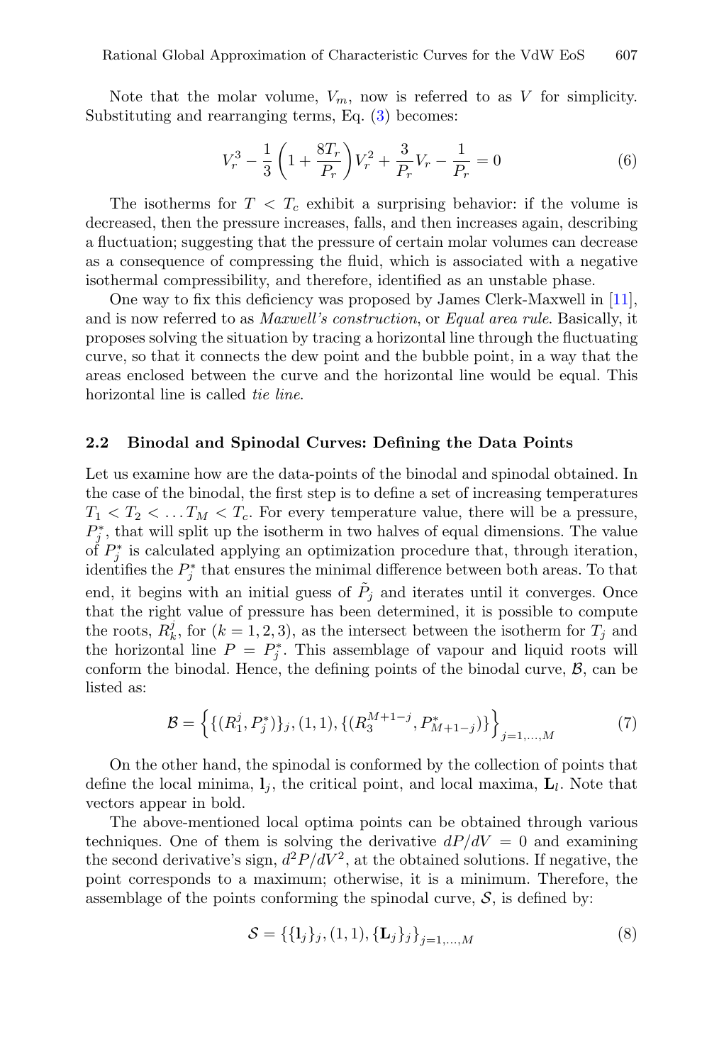Note that the molar volume,  $V_m$ , now is referred to as V for simplicity. Substituting and rearranging terms, Eq. [\(3\)](#page-3-1) becomes:

<span id="page-4-0"></span>
$$
V_r^3 - \frac{1}{3} \left( 1 + \frac{8T_r}{P_r} \right) V_r^2 + \frac{3}{P_r} V_r - \frac{1}{P_r} = 0 \tag{6}
$$

The isotherms for  $T < T_c$  exhibit a surprising behavior: if the volume is decreased, then the pressure increases, falls, and then increases again, describing a fluctuation; suggesting that the pressure of certain molar volumes can decrease as a consequence of compressing the fluid, which is associated with a negative isothermal compressibility, and therefore, identified as an unstable phase.

One way to fix this deficiency was proposed by James Clerk-Maxwell in [\[11\]](#page-13-3), and is now referred to as *Maxwell's construction*, or *Equal area rule*. Basically, it proposes solving the situation by tracing a horizontal line through the fluctuating curve, so that it connects the dew point and the bubble point, in a way that the areas enclosed between the curve and the horizontal line would be equal. This horizontal line is called *tie line*.

#### <span id="page-4-1"></span>**2.2 Binodal and Spinodal Curves: Defining the Data Points**

Let us examine how are the data-points of the binodal and spinodal obtained. In the case of the binodal, the first step is to define a set of increasing temperatures  $T_1 < T_2 < \ldots T_M < T_c$ . For every temperature value, there will be a pressure,  $P_j^*$ , that will split up the isotherm in two halves of equal dimensions. The value of  $P_j^*$  is calculated applying an optimization procedure that, through iteration, identifies the  $P_j^*$  that ensures the minimal difference between both areas. To that end, it begins with an initial guess of  $\ddot{P}_j$  and iterates until it converges. Once that the right value of pressure has been determined, it is possible to compute the roots,  $R_k^j$ , for  $(k = 1, 2, 3)$ , as the intersect between the isotherm for  $T_j$  and the horizontal line  $P = P_j^*$ . This assemblage of vapour and liquid roots will conform the binodal. Hence, the defining points of the binodal curve,  $\beta$ , can be listed as:

<span id="page-4-2"></span>
$$
\mathcal{B} = \left\{ \{ (R_1^j, P_j^*) \}_j, (1, 1), \{ (R_3^{M+1-j}, P_{M+1-j}^*) \} \right\}_{j=1,\dots,M}
$$
(7)

On the other hand, the spinodal is conformed by the collection of points that define the local minima,  $\mathbf{l}_i$ , the critical point, and local maxima,  $\mathbf{L}_l$ . Note that vectors appear in bold.

The above-mentioned local optima points can be obtained through various techniques. One of them is solving the derivative  $dP/dV = 0$  and examining the second derivative's sign,  $d^2P/dV^2$ , at the obtained solutions. If negative, the point corresponds to a maximum; otherwise, it is a minimum. Therefore, the assemblage of the points conforming the spinodal curve,  $S$ , is defined by:

<span id="page-4-3"></span>
$$
S = \{ \{ \mathbf{l}_j \}_j, (1, 1), \{ \mathbf{L}_j \}_j \}_{j=1,...,M}
$$
\n(8)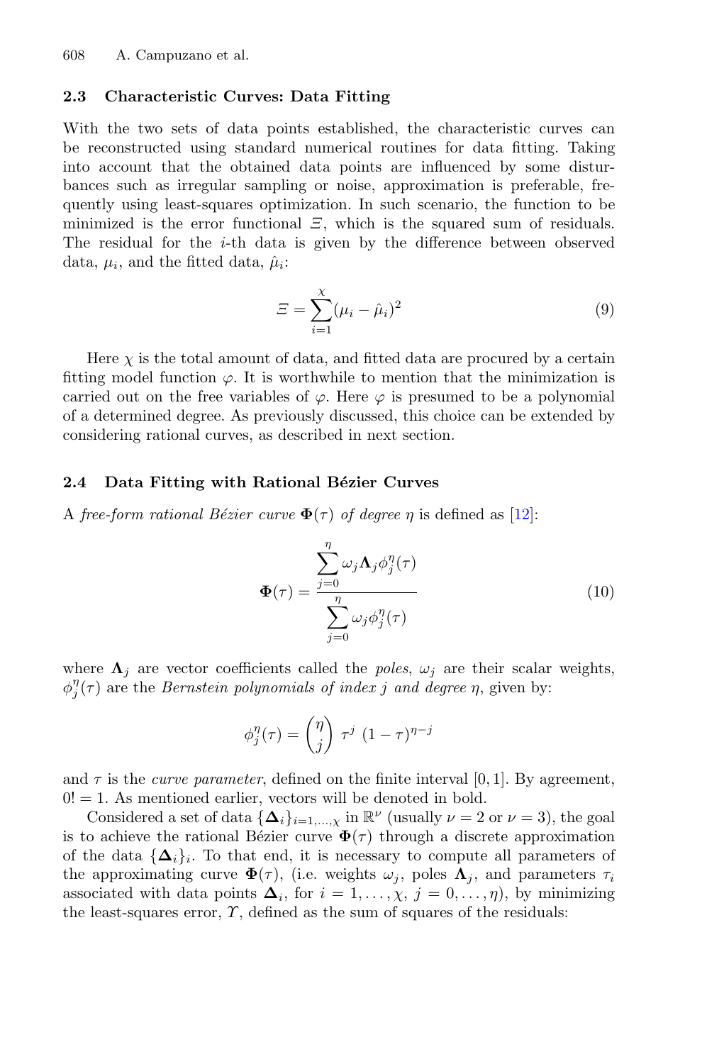### **2.3 Characteristic Curves: Data Fitting**

With the two sets of data points established, the characteristic curves can be reconstructed using standard numerical routines for data fitting. Taking into account that the obtained data points are influenced by some disturbances such as irregular sampling or noise, approximation is preferable, frequently using least-squares optimization. In such scenario, the function to be minimized is the error functional  $E$ , which is the squared sum of residuals. The residual for the  $i$ -th data is given by the difference between observed data,  $\mu_i$ , and the fitted data,  $\hat{\mu}_i$ :

$$
\Xi = \sum_{i=1}^{\chi} (\mu_i - \hat{\mu}_i)^2 \tag{9}
$$

Here  $\chi$  is the total amount of data, and fitted data are procured by a certain fitting model function  $\varphi$ . It is worthwhile to mention that the minimization is carried out on the free variables of  $\varphi$ . Here  $\varphi$  is presumed to be a polynomial of a determined degree. As previously discussed, this choice can be extended by considering rational curves, as described in next section.

### **2.4 Data Fitting with Rational Bézier Curves**

A *free-form rational Bézier curve*  $\Phi(\tau)$  *of degree*  $\eta$  is defined as [\[12\]](#page-13-2):

$$
\Phi(\tau) = \frac{\sum_{j=0}^{\eta} \omega_j \Lambda_j \phi_j^{\eta}(\tau)}{\sum_{j=0}^{\eta} \omega_j \phi_j^{\eta}(\tau)}
$$
(10)

where  $\Lambda_j$  are vector coefficients called the *poles*,  $\omega_j$  are their scalar weights,  $\phi_j^{\eta}(\tau)$  are the *Bernstein polynomials of index j and degree*  $\eta$ , given by:

$$
\phi_j^{\eta}(\tau) = \binom{\eta}{j} \tau^j (1 - \tau)^{\eta - j}
$$

and  $\tau$  is the *curve parameter*, defined on the finite interval [0, 1]. By agreement,  $0! = 1$ . As mentioned earlier, vectors will be denoted in bold.

Considered a set of data  $\{\Delta_i\}_{i=1,\dots,\chi}$  in  $\mathbb{R}^{\nu}$  (usually  $\nu = 2$  or  $\nu = 3$ ), the goal is to achieve the rational Bézier curve  $\Phi(\tau)$  through a discrete approximation of the data  ${\{\Delta_i\}}_i$ . To that end, it is necessary to compute all parameters of the approximating curve  $\mathbf{\Phi}(\tau)$ , (i.e. weights  $\omega_j$ , poles  $\mathbf{\Lambda}_j$ , and parameters  $\tau_i$ associated with data points  $\Delta_i$ , for  $i = 1, \ldots, \chi, j = 0, \ldots, \eta$ , by minimizing the least-squares error,  $\gamma$ , defined as the sum of squares of the residuals: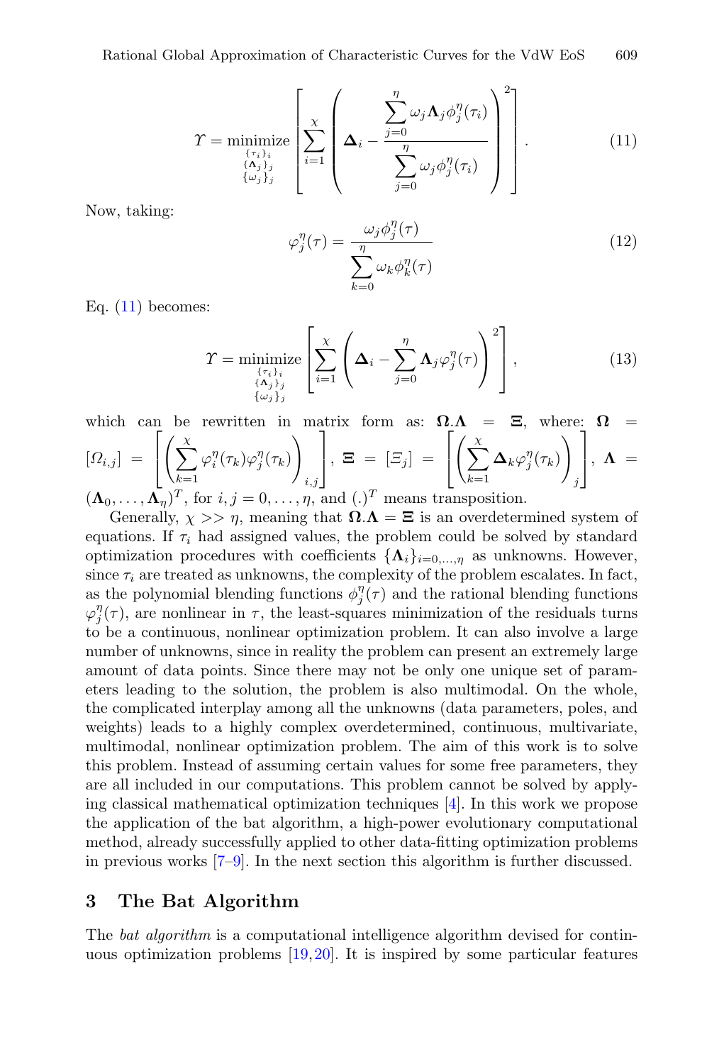<span id="page-6-1"></span>
$$
\Upsilon = \underset{\{\alpha_j\}_j}{\text{minimize}} \left[ \sum_{\substack{\{\tau_i\}_i\\{\{\alpha_j\}_j\}}}^{\gamma} \left( \Delta_i - \frac{\sum_{j=0}^{\eta} \omega_j \Lambda_j \phi_j^{\eta}(\tau_i)}{\sum_{j=0}^{\eta} \omega_j \phi_j^{\eta}(\tau_i)} \right)^2 \right].
$$
\n(11)

Now, taking:

$$
\varphi_j^{\eta}(\tau) = \frac{\omega_j \phi_j^{\eta}(\tau)}{\sum_{k=0}^n \omega_k \phi_k^{\eta}(\tau)}
$$
(12)

Eq.  $(11)$  becomes:

$$
\Upsilon = \underset{\substack{\{\tau_i\}_{i} \\ {\{\Delta_j\}_{j}}} \\ \{\omega_j\}_{j}}{\text{minimize}} \left[ \sum_{i=1}^{X} \left( \Delta_i - \sum_{j=0}^{\eta} \Lambda_j \varphi_j^{\eta}(\tau) \right)^2 \right], \tag{13}
$$

which can be rewritten in matrix form as:  $\Omega \Lambda$  =  $\Xi$ , where:  $\Omega$  $[\Omega_{i,j}] =$  $\overline{\phantom{a}}$  $\left| \left( \sum_{i=1}^{x} \right)$  $k=1$  $\varphi_i^{\eta}(\tau_k)\varphi_j^{\eta}(\tau_k)$  $\setminus$  $_{i,j}$  $\overline{a}$  $\Big\vert \, , \, \, \Xi \, \, = \, \, \left[ \varXi_j \right] \, = \,$  $\overline{\phantom{a}}$  $\left| \left( \sum_{i=1}^{x} \right)$  $k=1$  $\mathbf{\Delta}_k \varphi_j^{\eta}(\tau_k)$  $\setminus$ j  $\overline{a}$  $\bigg| \, , \, \, {\bf \Lambda} \, =$  $(\mathbf{\Lambda}_0,\ldots,\mathbf{\Lambda}_n)^T$ , for  $i, j = 0,\ldots,\eta$ , and  $(.)^T$  means transposition.

Generally,  $\chi \gg \eta$ , meaning that  $\Omega \cdot \Lambda = \Xi$  is an overdetermined system of equations. If  $\tau_i$  had assigned values, the problem could be solved by standard optimization procedures with coefficients  $\{\Lambda_i\}_{i=0,\dots,n}$  as unknowns. However, since  $\tau_i$  are treated as unknowns, the complexity of the problem escalates. In fact, as the polynomial blending functions  $\phi_j^{\eta}(\tau)$  and the rational blending functions  $\varphi_j^{\eta}(\tau)$ , are nonlinear in  $\tau$ , the least-squares minimization of the residuals turns to be a continuous, nonlinear optimization problem. It can also involve a large number of unknowns, since in reality the problem can present an extremely large amount of data points. Since there may not be only one unique set of parameters leading to the solution, the problem is also multimodal. On the whole, the complicated interplay among all the unknowns (data parameters, poles, and weights) leads to a highly complex overdetermined, continuous, multivariate, multimodal, nonlinear optimization problem. The aim of this work is to solve this problem. Instead of assuming certain values for some free parameters, they are all included in our computations. This problem cannot be solved by applying classical mathematical optimization techniques [\[4\]](#page-12-2). In this work we propose the application of the bat algorithm, a high-power evolutionary computational method, already successfully applied to other data-fitting optimization problems in previous works [\[7](#page-13-4)[–9\]](#page-13-5). In the next section this algorithm is further discussed.

## <span id="page-6-0"></span>**3 The Bat Algorithm**

The *bat algorithm* is a computational intelligence algorithm devised for continuous optimization problems [\[19](#page-13-6),[20\]](#page-13-7). It is inspired by some particular features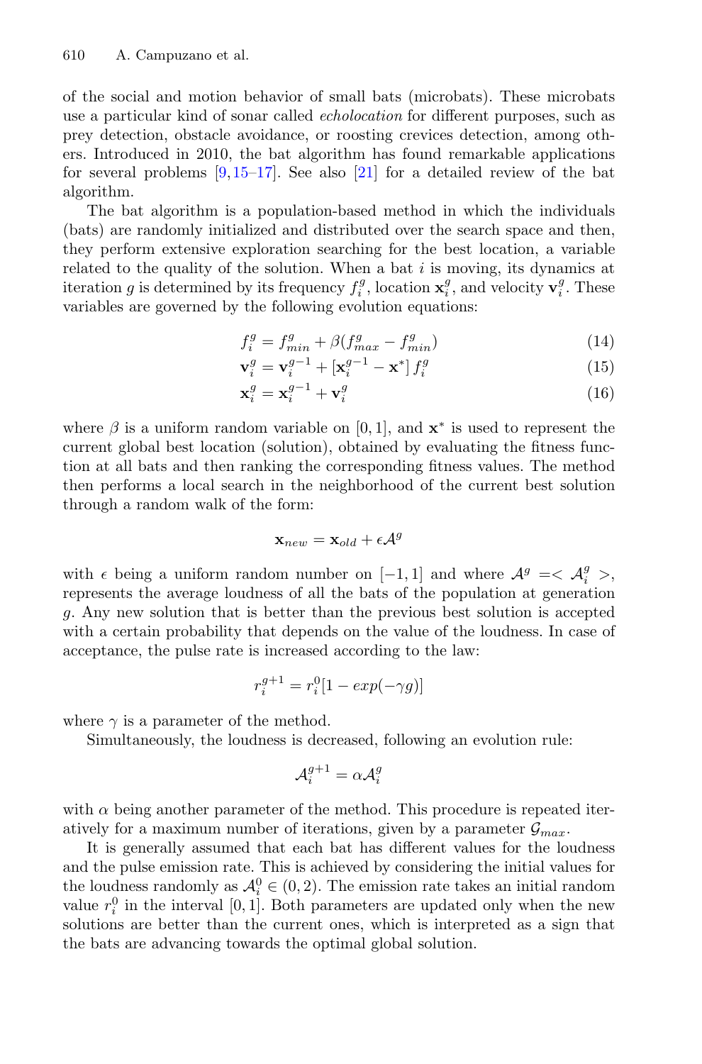of the social and motion behavior of small bats (microbats). These microbats use a particular kind of sonar called *echolocation* for different purposes, such as prey detection, obstacle avoidance, or roosting crevices detection, among others. Introduced in 2010, the bat algorithm has found remarkable applications for several problems  $[9,15-17]$  $[9,15-17]$  $[9,15-17]$ . See also  $[21]$  $[21]$  for a detailed review of the bat algorithm.

The bat algorithm is a population-based method in which the individuals (bats) are randomly initialized and distributed over the search space and then, they perform extensive exploration searching for the best location, a variable related to the quality of the solution. When a bat  $i$  is moving, its dynamics at iteration g is determined by its frequency  $f_i^g$ , location  $\mathbf{x}_i^g$ , and velocity  $\mathbf{v}_i^g$ . These variables are governed by the following evolution equations:

$$
f_i^g = f_{min}^g + \beta (f_{max}^g - f_{min}^g) \tag{14}
$$

$$
\mathbf{v}_i^g = \mathbf{v}_i^{g-1} + \left[\mathbf{x}_i^{g-1} - \mathbf{x}^*\right] f_i^g \tag{15}
$$

$$
\mathbf{x}_i^g = \mathbf{x}_i^{g-1} + \mathbf{v}_i^g \tag{16}
$$

where  $\beta$  is a uniform random variable on [0, 1], and  $\mathbf{x}^*$  is used to represent the current global best location (solution), obtained by evaluating the fitness function at all bats and then ranking the corresponding fitness values. The method then performs a local search in the neighborhood of the current best solution through a random walk of the form:

$$
\mathbf{x}_{new} = \mathbf{x}_{old} + \epsilon \mathcal{A}^g
$$

with  $\epsilon$  being a uniform random number on [-1, 1] and where  $\mathcal{A}^g = \langle \mathcal{A}_i^g \rangle$ , represents the average loudness of all the bats of the population at generation g. Any new solution that is better than the previous best solution is accepted with a certain probability that depends on the value of the loudness. In case of acceptance, the pulse rate is increased according to the law:

$$
r_i^{g+1} = r_i^0 [1 - exp(-\gamma g)]
$$

where  $\gamma$  is a parameter of the method.

Simultaneously, the loudness is decreased, following an evolution rule:

$$
\mathcal{A}_i^{g+1} = \alpha \mathcal{A}_i^g
$$

with  $\alpha$  being another parameter of the method. This procedure is repeated iteratively for a maximum number of iterations, given by a parameter  $\mathcal{G}_{max}$ .

It is generally assumed that each bat has different values for the loudness and the pulse emission rate. This is achieved by considering the initial values for the loudness randomly as  $\mathcal{A}_{i}^{0} \in (0, 2)$ . The emission rate takes an initial random value  $r_i^0$  in the interval [0, 1]. Both parameters are updated only when the new solutions are better than the current ones, which is interpreted as a sign that the bats are advancing towards the optimal global solution.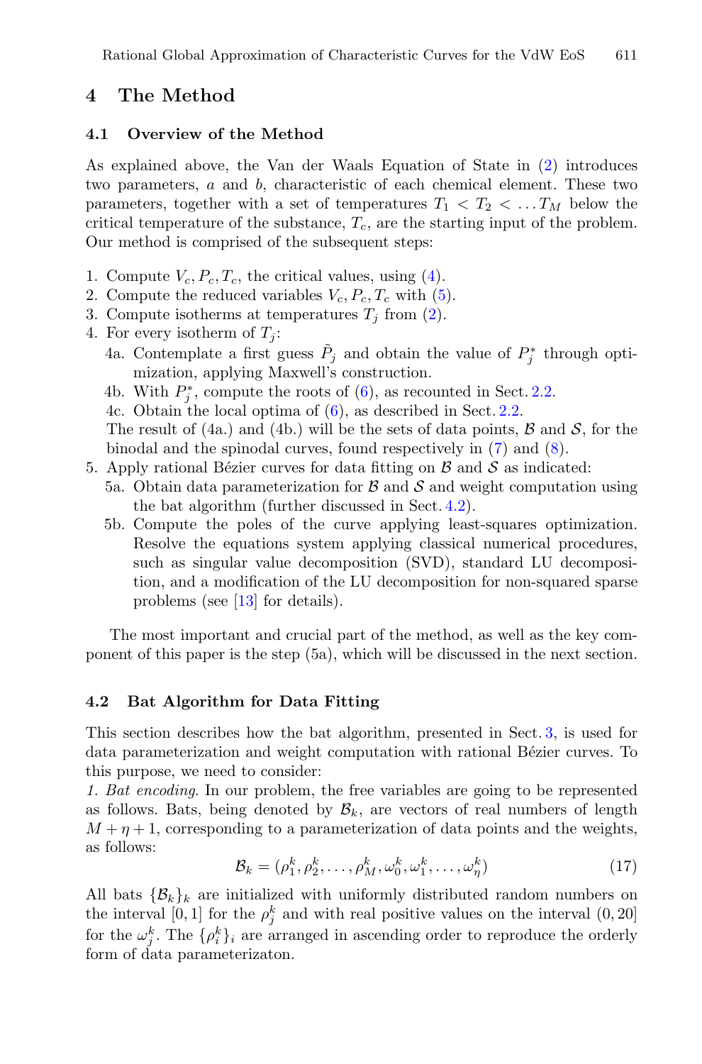# <span id="page-8-0"></span>**4 The Method**

## **4.1 Overview of the Method**

As explained above, the Van der Waals Equation of State in [\(2\)](#page-2-0) introduces two parameters, a and b, characteristic of each chemical element. These two parameters, together with a set of temperatures  $T_1 \langle T_2 \langle \dots T_M \rangle$  below the critical temperature of the substance,  $T_c$ , are the starting input of the problem. Our method is comprised of the subsequent steps:

- 1. Compute  $V_c, P_c, T_c$ , the critical values, using [\(4\)](#page-3-2).
- 2. Compute the reduced variables  $V_c, P_c, T_c$  with  $(5)$ .
- 3. Compute isotherms at temperatures  $T_j$  from  $(2)$ .
- 4. For every isotherm of  $T_i$ :
	- 4a. Contemplate a first guess  $\tilde{P}_j$  and obtain the value of  $P_j^*$  through optimization, applying Maxwell's construction.
	- 4b. With  $P_j^*$ , compute the roots of  $(6)$ , as recounted in Sect. [2.2.](#page-4-1)
	- 4c. Obtain the local optima of [\(6\)](#page-4-0), as described in Sect. [2.2.](#page-4-1)

The result of (4a.) and (4b.) will be the sets of data points,  $\beta$  and  $\beta$ , for the binodal and the spinodal curves, found respectively in [\(7\)](#page-4-2) and [\(8\)](#page-4-3).

- 5. Apply rational Bézier curves for data fitting on  $\beta$  and  $\delta$  as indicated:
	- 5a. Obtain data parameterization for  $\beta$  and  $\delta$  and weight computation using the bat algorithm (further discussed in Sect. [4.2\)](#page-8-1).
	- 5b. Compute the poles of the curve applying least-squares optimization. Resolve the equations system applying classical numerical procedures, such as singular value decomposition (SVD), standard LU decomposition, and a modification of the LU decomposition for non-squared sparse problems (see [\[13\]](#page-13-11) for details).

The most important and crucial part of the method, as well as the key component of this paper is the step (5a), which will be discussed in the next section.

# <span id="page-8-1"></span>**4.2 Bat Algorithm for Data Fitting**

This section describes how the bat algorithm, presented in Sect. [3,](#page-6-0) is used for data parameterization and weight computation with rational Bézier curves. To this purpose, we need to consider:

*1. Bat encoding*. In our problem, the free variables are going to be represented as follows. Bats, being denoted by  $\mathcal{B}_k$ , are vectors of real numbers of length  $M + \eta + 1$ , corresponding to a parameterization of data points and the weights, as follows:

$$
\mathcal{B}_k = (\rho_1^k, \rho_2^k, \dots, \rho_M^k, \omega_0^k, \omega_1^k, \dots, \omega_\eta^k)
$$
\n(17)

All bats  $\{\mathcal{B}_k\}_k$  are initialized with uniformly distributed random numbers on the interval  $[0,1]$  for the  $\rho_j^k$  and with real positive values on the interval  $(0, 20]$ for the  $\omega_j^k$ . The  $\{\rho_i^k\}_i$  are arranged in ascending order to reproduce the orderly form of data parameterizaton.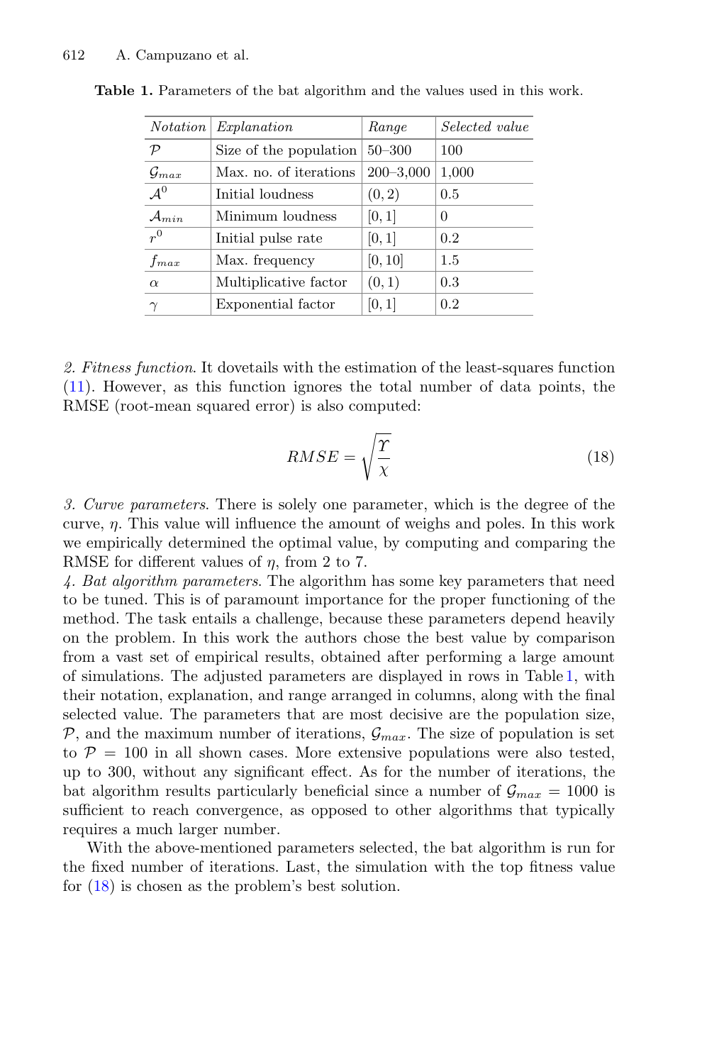<span id="page-9-0"></span>

| <i>Notation</i>     | Explanation            | Range         | Selected value |
|---------------------|------------------------|---------------|----------------|
| ${\cal P}$          | Size of the population | $50 - 300$    | 100            |
| $\mathcal{G}_{max}$ | Max. no. of iterations | $200 - 3,000$ | 1,000          |
| $\mathcal{A}^0$     | Initial loudness       | (0, 2)        | 0.5            |
| $\mathcal{A}_{min}$ | Minimum loudness       | [0, 1]        | 0              |
| $r^{0}$             | Initial pulse rate     | [0, 1]        | 0.2            |
| $f_{max}$           | Max. frequency         | [0, 10]       | 1.5            |
| $\alpha$            | Multiplicative factor  | (0,1)         | 0.3            |
| $\gamma$            | Exponential factor     | [0, 1]        | 0.2            |

**Table 1.** Parameters of the bat algorithm and the values used in this work.

*2. Fitness function*. It dovetails with the estimation of the least-squares function [\(11\)](#page-6-1). However, as this function ignores the total number of data points, the RMSE (root-mean squared error) is also computed:

<span id="page-9-1"></span>
$$
RMSE = \sqrt{\frac{\Upsilon}{\chi}}\tag{18}
$$

*3. Curve parameters*. There is solely one parameter, which is the degree of the curve,  $\eta$ . This value will influence the amount of weighs and poles. In this work we empirically determined the optimal value, by computing and comparing the RMSE for different values of  $\eta$ , from 2 to 7.

*4. Bat algorithm parameters*. The algorithm has some key parameters that need to be tuned. This is of paramount importance for the proper functioning of the method. The task entails a challenge, because these parameters depend heavily on the problem. In this work the authors chose the best value by comparison from a vast set of empirical results, obtained after performing a large amount of simulations. The adjusted parameters are displayed in rows in Table [1,](#page-9-0) with their notation, explanation, and range arranged in columns, along with the final selected value. The parameters that are most decisive are the population size, P, and the maximum number of iterations,  $\mathcal{G}_{max}$ . The size of population is set to  $\mathcal{P} = 100$  in all shown cases. More extensive populations were also tested, up to 300, without any significant effect. As for the number of iterations, the bat algorithm results particularly beneficial since a number of  $\mathcal{G}_{max} = 1000$  is sufficient to reach convergence, as opposed to other algorithms that typically requires a much larger number.

With the above-mentioned parameters selected, the bat algorithm is run for the fixed number of iterations. Last, the simulation with the top fitness value for  $(18)$  is chosen as the problem's best solution.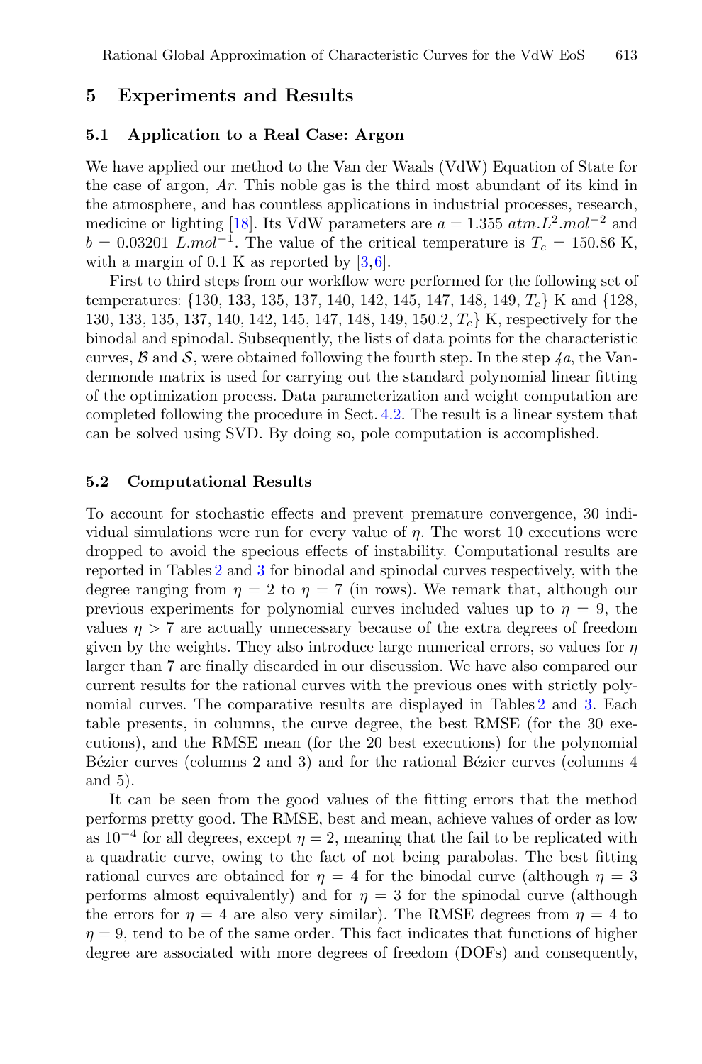## <span id="page-10-0"></span>**5 Experiments and Results**

### **5.1 Application to a Real Case: Argon**

We have applied our method to the Van der Waals (VdW) Equation of State for the case of argon, *Ar*. This noble gas is the third most abundant of its kind in the atmosphere, and has countless applications in industrial processes, research, medicine or lighting [\[18\]](#page-13-12). Its VdW parameters are  $a = 1.355 \, atm.L^2.mol^{-2}$  and  $b = 0.03201$  L.mol<sup>-1</sup>. The value of the critical temperature is  $T_c = 150.86$  K, with a margin of  $0.1 \text{ K}$  as reported by  $\left[3,6\right]$  $\left[3,6\right]$  $\left[3,6\right]$ .

First to third steps from our workflow were performed for the following set of temperatures: {130, 133, 135, 137, 140, 142, 145, 147, 148, 149,  $T_c$ } K and {128, 130, 133, 135, 137, 140, 142, 145, 147, 148, 149, 150.2,  $T_c$  K, respectively for the binodal and spinodal. Subsequently, the lists of data points for the characteristic curves,  $\mathcal B$  and  $\mathcal S$ , were obtained following the fourth step. In the step  $\chi_a$ , the Vandermonde matrix is used for carrying out the standard polynomial linear fitting of the optimization process. Data parameterization and weight computation are completed following the procedure in Sect. [4.2.](#page-8-1) The result is a linear system that can be solved using SVD. By doing so, pole computation is accomplished.

### **5.2 Computational Results**

To account for stochastic effects and prevent premature convergence, 30 individual simulations were run for every value of  $\eta$ . The worst 10 executions were dropped to avoid the specious effects of instability. Computational results are reported in Tables [2](#page-11-0) and [3](#page-11-1) for binodal and spinodal curves respectively, with the degree ranging from  $\eta = 2$  to  $\eta = 7$  (in rows). We remark that, although our previous experiments for polynomial curves included values up to  $\eta = 9$ , the values  $\eta > 7$  are actually unnecessary because of the extra degrees of freedom given by the weights. They also introduce large numerical errors, so values for  $\eta$ larger than 7 are finally discarded in our discussion. We have also compared our current results for the rational curves with the previous ones with strictly polynomial curves. The comparative results are displayed in Tables [2](#page-11-0) and [3.](#page-11-1) Each table presents, in columns, the curve degree, the best RMSE (for the 30 executions), and the RMSE mean (for the 20 best executions) for the polynomial Bézier curves (columns 2 and 3) and for the rational Bézier curves (columns 4 and 5).

It can be seen from the good values of the fitting errors that the method performs pretty good. The RMSE, best and mean, achieve values of order as low as  $10^{-4}$  for all degrees, except  $\eta = 2$ , meaning that the fail to be replicated with a quadratic curve, owing to the fact of not being parabolas. The best fitting rational curves are obtained for  $\eta = 4$  for the binodal curve (although  $\eta = 3$ ) performs almost equivalently) and for  $\eta = 3$  for the spinodal curve (although the errors for  $\eta = 4$  are also very similar). The RMSE degrees from  $\eta = 4$  to  $\eta = 9$ , tend to be of the same order. This fact indicates that functions of higher degree are associated with more degrees of freedom (DOFs) and consequently,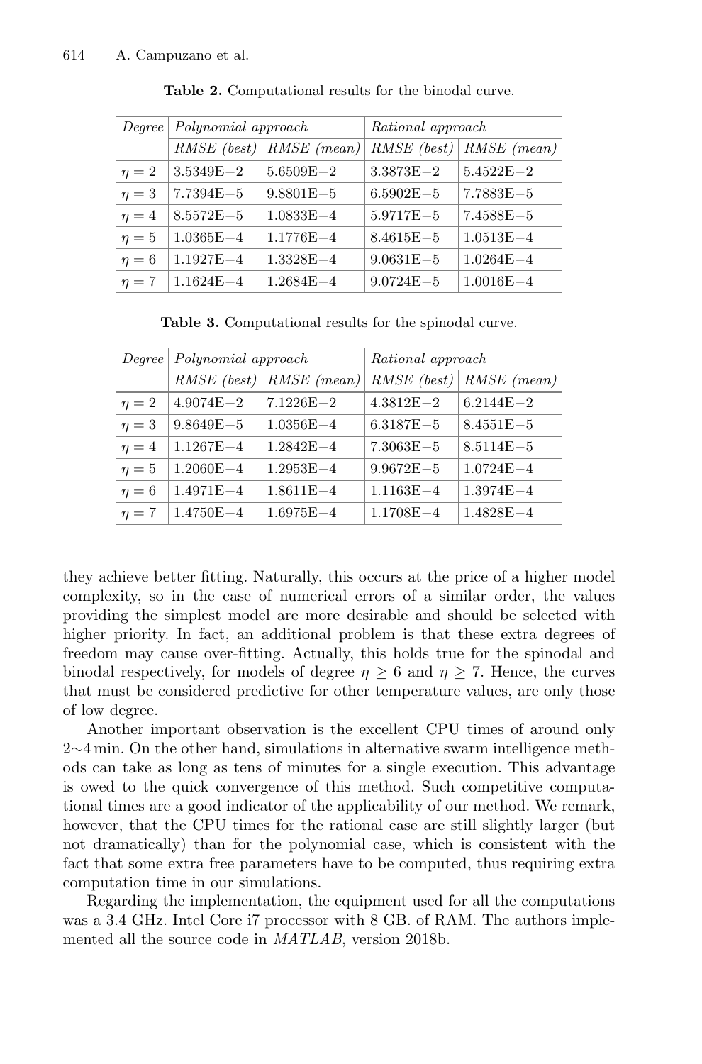| Degree     | Polynomial approach |               | Rational approach |               |
|------------|---------------------|---------------|-------------------|---------------|
|            | RMSE (best)         | $RMSE$ (mean) | RMSE (best)       | $RMSE$ (mean) |
| $\eta = 2$ | $3.5349E - 2$       | $5.6509E - 2$ | $3.3873E - 2$     | $5.4522E - 2$ |
| $\eta=3$   | $7.7394E - 5$       | $9.8801E - 5$ | $6.5902E - 5$     | $7.7883E - 5$ |
| $\eta=4$   | $8.5572E - 5$       | $1.0833E - 4$ | $5.9717E - 5$     | $7.4588E - 5$ |
| $\eta=5$   | $1.0365E - 4$       | $1.1776E - 4$ | $8.4615E - 5$     | $1.0513E - 4$ |
| $\eta=6$   | $1.1927E - 4$       | $1.3328E - 4$ | $9.0631E - 5$     | $1.0264E - 4$ |
| $\eta = 7$ | $1.1624E - 4$       | $1.2684E - 4$ | $9.0724E - 5$     | $1.0016E - 4$ |

<span id="page-11-0"></span>**Table 2.** Computational results for the binodal curve.

<span id="page-11-1"></span>Table 3. Computational results for the spinodal curve.

| Degree     | Polynomial approach |               | Rational approach |               |
|------------|---------------------|---------------|-------------------|---------------|
|            | RMSE (best)         | $RMSE$ (mean) | RMSE (best)       | $RMSE$ (mean) |
| $\eta=2$   | $4.9074E - 2$       | $7.1226E - 2$ | $4.3812E - 2$     | $6.2144E - 2$ |
| $\eta=3$   | $9.8649E - 5$       | $1.0356E - 4$ | $6.3187E - 5$     | $8.4551E - 5$ |
| $\eta=4$   | $1.1267E - 4$       | $1.2842E - 4$ | $7.3063E - 5$     | $8.5114E - 5$ |
| $\eta=5$   | $1.2060E - 4$       | $1.2953E - 4$ | $9.9672E - 5$     | $1.0724E - 4$ |
| $\eta=6$   | $1.4971E - 4$       | $1.8611E - 4$ | $1.1163E - 4$     | $1.3974E - 4$ |
| $\eta = 7$ | $1.4750E - 4$       | $1.6975E - 4$ | $1.1708E - 4$     | $1.4828E - 4$ |

they achieve better fitting. Naturally, this occurs at the price of a higher model complexity, so in the case of numerical errors of a similar order, the values providing the simplest model are more desirable and should be selected with higher priority. In fact, an additional problem is that these extra degrees of freedom may cause over-fitting. Actually, this holds true for the spinodal and binodal respectively, for models of degree  $\eta > 6$  and  $\eta > 7$ . Hence, the curves that must be considered predictive for other temperature values, are only those of low degree.

Another important observation is the excellent CPU times of around only 2∼4 min. On the other hand, simulations in alternative swarm intelligence methods can take as long as tens of minutes for a single execution. This advantage is owed to the quick convergence of this method. Such competitive computational times are a good indicator of the applicability of our method. We remark, however, that the CPU times for the rational case are still slightly larger (but not dramatically) than for the polynomial case, which is consistent with the fact that some extra free parameters have to be computed, thus requiring extra computation time in our simulations.

Regarding the implementation, the equipment used for all the computations was a 3.4 GHz. Intel Core i7 processor with 8 GB. of RAM. The authors implemented all the source code in *MATLAB*, version 2018b.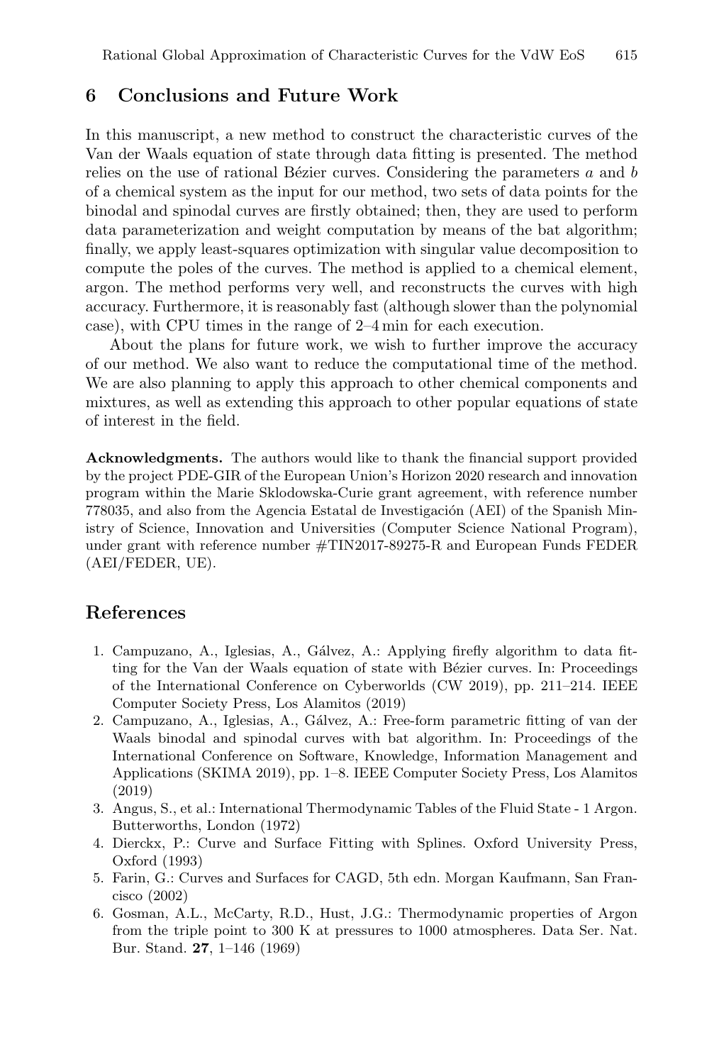# **6 Conclusions and Future Work**

In this manuscript, a new method to construct the characteristic curves of the Van der Waals equation of state through data fitting is presented. The method relies on the use of rational Bézier curves. Considering the parameters  $a$  and  $b$ of a chemical system as the input for our method, two sets of data points for the binodal and spinodal curves are firstly obtained; then, they are used to perform data parameterization and weight computation by means of the bat algorithm; finally, we apply least-squares optimization with singular value decomposition to compute the poles of the curves. The method is applied to a chemical element, argon. The method performs very well, and reconstructs the curves with high accuracy. Furthermore, it is reasonably fast (although slower than the polynomial case), with CPU times in the range of 2–4 min for each execution.

About the plans for future work, we wish to further improve the accuracy of our method. We also want to reduce the computational time of the method. We are also planning to apply this approach to other chemical components and mixtures, as well as extending this approach to other popular equations of state of interest in the field.

**Acknowledgments.** The authors would like to thank the financial support provided by the project PDE-GIR of the European Union's Horizon 2020 research and innovation program within the Marie Sklodowska-Curie grant agreement, with reference number 778035, and also from the Agencia Estatal de Investigación (AEI) of the Spanish Ministry of Science, Innovation and Universities (Computer Science National Program), under grant with reference number #TIN2017-89275-R and European Funds FEDER (AEI/FEDER, UE).

# **References**

- <span id="page-12-0"></span>1. Campuzano, A., Iglesias, A., G´alvez, A.: Applying firefly algorithm to data fitting for the Van der Waals equation of state with Bézier curves. In: Proceedings of the International Conference on Cyberworlds (CW 2019), pp. 211–214. IEEE Computer Society Press, Los Alamitos (2019)
- <span id="page-12-1"></span>2. Campuzano, A., Iglesias, A., G´alvez, A.: Free-form parametric fitting of van der Waals binodal and spinodal curves with bat algorithm. In: Proceedings of the International Conference on Software, Knowledge, Information Management and Applications (SKIMA 2019), pp. 1–8. IEEE Computer Society Press, Los Alamitos (2019)
- <span id="page-12-4"></span>3. Angus, S., et al.: International Thermodynamic Tables of the Fluid State - 1 Argon. Butterworths, London (1972)
- <span id="page-12-2"></span>4. Dierckx, P.: Curve and Surface Fitting with Splines. Oxford University Press, Oxford (1993)
- <span id="page-12-3"></span>5. Farin, G.: Curves and Surfaces for CAGD, 5th edn. Morgan Kaufmann, San Francisco (2002)
- <span id="page-12-5"></span>6. Gosman, A.L., McCarty, R.D., Hust, J.G.: Thermodynamic properties of Argon from the triple point to 300 K at pressures to 1000 atmospheres. Data Ser. Nat. Bur. Stand. **27**, 1–146 (1969)